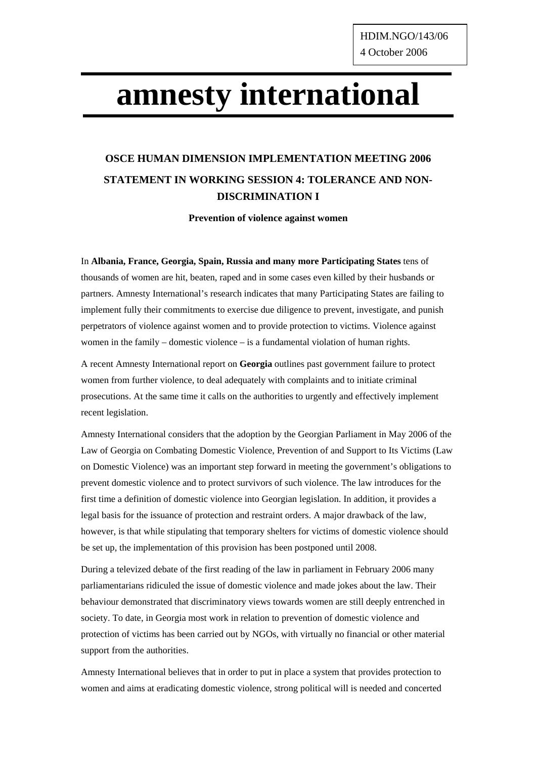## **amnesty international**

## **OSCE HUMAN DIMENSION IMPLEMENTATION MEETING 2006 STATEMENT IN WORKING SESSION 4: TOLERANCE AND NON-DISCRIMINATION I**

**Prevention of violence against women** 

In **Albania, France, Georgia, Spain, Russia and many more Participating States** tens of thousands of women are hit, beaten, raped and in some cases even killed by their husbands or partners. Amnesty International's research indicates that many Participating States are failing to implement fully their commitments to exercise due diligence to prevent, investigate, and punish perpetrators of violence against women and to provide protection to victims. Violence against women in the family – domestic violence – is a fundamental violation of human rights.

A recent Amnesty International report on **Georgia** outlines past government failure to protect women from further violence, to deal adequately with complaints and to initiate criminal prosecutions. At the same time it calls on the authorities to urgently and effectively implement recent legislation.

Amnesty International considers that the adoption by the Georgian Parliament in May 2006 of the Law of Georgia on Combating Domestic Violence, Prevention of and Support to Its Victims (Law on Domestic Violence) was an important step forward in meeting the government's obligations to prevent domestic violence and to protect survivors of such violence. The law introduces for the first time a definition of domestic violence into Georgian legislation. In addition, it provides a legal basis for the issuance of protection and restraint orders. A major drawback of the law, however, is that while stipulating that temporary shelters for victims of domestic violence should be set up, the implementation of this provision has been postponed until 2008.

During a televized debate of the first reading of the law in parliament in February 2006 many parliamentarians ridiculed the issue of domestic violence and made jokes about the law. Their behaviour demonstrated that discriminatory views towards women are still deeply entrenched in society. To date, in Georgia most work in relation to prevention of domestic violence and protection of victims has been carried out by NGOs, with virtually no financial or other material support from the authorities.

Amnesty International believes that in order to put in place a system that provides protection to women and aims at eradicating domestic violence, strong political will is needed and concerted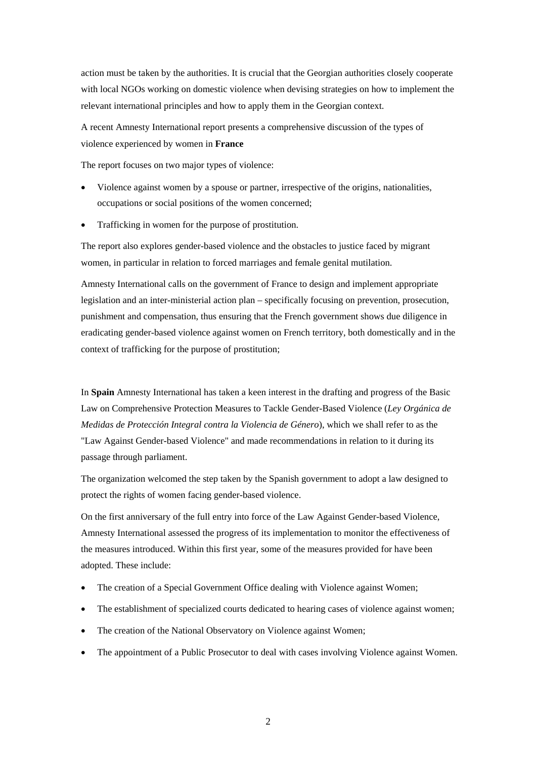action must be taken by the authorities. It is crucial that the Georgian authorities closely cooperate with local NGOs working on domestic violence when devising strategies on how to implement the relevant international principles and how to apply them in the Georgian context.

A recent Amnesty International report presents a comprehensive discussion of the types of violence experienced by women in **France**

The report focuses on two major types of violence:

- Violence against women by a spouse or partner, irrespective of the origins, nationalities, occupations or social positions of the women concerned;
- Trafficking in women for the purpose of prostitution.

The report also explores gender-based violence and the obstacles to justice faced by migrant women, in particular in relation to forced marriages and female genital mutilation.

Amnesty International calls on the government of France to design and implement appropriate legislation and an inter-ministerial action plan – specifically focusing on prevention, prosecution, punishment and compensation, thus ensuring that the French government shows due diligence in eradicating gender-based violence against women on French territory, both domestically and in the context of trafficking for the purpose of prostitution;

In **Spain** Amnesty International has taken a keen interest in the drafting and progress of the Basic Law on Comprehensive Protection Measures to Tackle Gender-Based Violence (*Ley Orgánica de Medidas de Protección Integral contra la Violencia de Género*), which we shall refer to as the "Law Against Gender-based Violence" and made recommendations in relation to it during its passage through parliament.

The organization welcomed the step taken by the Spanish government to adopt a law designed to protect the rights of women facing gender-based violence.

On the first anniversary of the full entry into force of the Law Against Gender-based Violence, Amnesty International assessed the progress of its implementation to monitor the effectiveness of the measures introduced. Within this first year, some of the measures provided for have been adopted. These include:

- The creation of a Special Government Office dealing with Violence against Women;
- The establishment of specialized courts dedicated to hearing cases of violence against women;
- The creation of the National Observatory on Violence against Women;
- The appointment of a Public Prosecutor to deal with cases involving Violence against Women.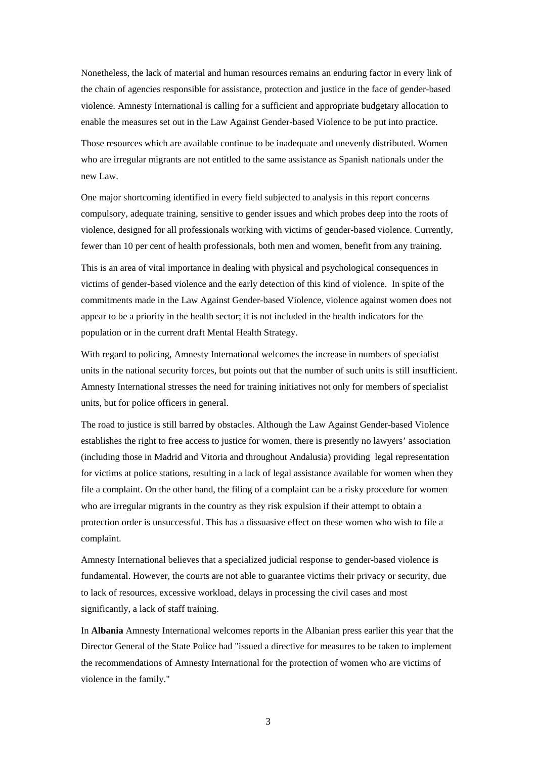Nonetheless, the lack of material and human resources remains an enduring factor in every link of the chain of agencies responsible for assistance, protection and justice in the face of gender-based violence. Amnesty International is calling for a sufficient and appropriate budgetary allocation to enable the measures set out in the Law Against Gender-based Violence to be put into practice.

Those resources which are available continue to be inadequate and unevenly distributed. Women who are irregular migrants are not entitled to the same assistance as Spanish nationals under the new Law.

One major shortcoming identified in every field subjected to analysis in this report concerns compulsory, adequate training, sensitive to gender issues and which probes deep into the roots of violence, designed for all professionals working with victims of gender-based violence. Currently, fewer than 10 per cent of health professionals, both men and women, benefit from any training.

This is an area of vital importance in dealing with physical and psychological consequences in victims of gender-based violence and the early detection of this kind of violence. In spite of the commitments made in the Law Against Gender-based Violence, violence against women does not appear to be a priority in the health sector; it is not included in the health indicators for the population or in the current draft Mental Health Strategy.

With regard to policing, Amnesty International welcomes the increase in numbers of specialist units in the national security forces, but points out that the number of such units is still insufficient. Amnesty International stresses the need for training initiatives not only for members of specialist units, but for police officers in general.

The road to justice is still barred by obstacles. Although the Law Against Gender-based Violence establishes the right to free access to justice for women, there is presently no lawyers' association (including those in Madrid and Vitoria and throughout Andalusia) providing legal representation for victims at police stations, resulting in a lack of legal assistance available for women when they file a complaint. On the other hand, the filing of a complaint can be a risky procedure for women who are irregular migrants in the country as they risk expulsion if their attempt to obtain a protection order is unsuccessful. This has a dissuasive effect on these women who wish to file a complaint.

Amnesty International believes that a specialized judicial response to gender-based violence is fundamental. However, the courts are not able to guarantee victims their privacy or security, due to lack of resources, excessive workload, delays in processing the civil cases and most significantly, a lack of staff training.

In **Albania** Amnesty International welcomes reports in the Albanian press earlier this year that the Director General of the State Police had "issued a directive for measures to be taken to implement the recommendations of Amnesty International for the protection of women who are victims of violence in the family."

3